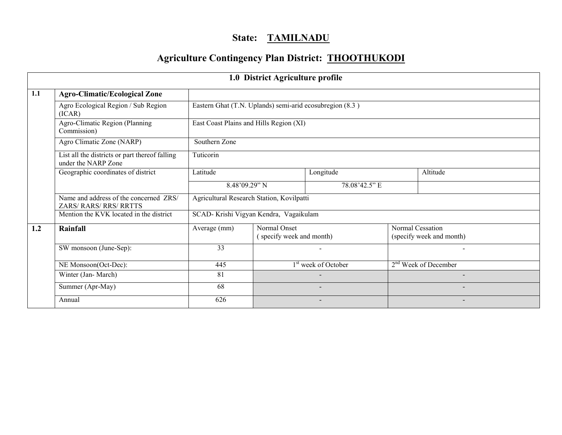## State: TAMILNADU

# Agriculture Contingency Plan District: THOOTHUKODI

|     | 1.0 District Agriculture profile                                      |                                                          |                                          |                                 |                          |                                              |  |  |  |  |
|-----|-----------------------------------------------------------------------|----------------------------------------------------------|------------------------------------------|---------------------------------|--------------------------|----------------------------------------------|--|--|--|--|
| 1.1 | <b>Agro-Climatic/Ecological Zone</b>                                  |                                                          |                                          |                                 |                          |                                              |  |  |  |  |
|     | Agro Ecological Region / Sub Region<br>(ICAR)                         | Eastern Ghat (T.N. Uplands) semi-arid ecosubregion (8.3) |                                          |                                 |                          |                                              |  |  |  |  |
|     | Agro-Climatic Region (Planning<br>Commission)                         | East Coast Plains and Hills Region (XI)                  |                                          |                                 |                          |                                              |  |  |  |  |
|     | Agro Climatic Zone (NARP)                                             | Southern Zone                                            |                                          |                                 |                          |                                              |  |  |  |  |
|     | List all the districts or part thereof falling<br>under the NARP Zone | Tuticorin                                                |                                          |                                 |                          |                                              |  |  |  |  |
|     | Geographic coordinates of district                                    | Latitude                                                 |                                          | Longitude                       |                          | Altitude                                     |  |  |  |  |
|     |                                                                       | 8.48'09.29" N                                            |                                          | 78.08'42.5" E                   |                          |                                              |  |  |  |  |
|     | Name and address of the concerned ZRS/<br>ZARS/RARS/RRS/RRTTS         | Agricultural Research Station, Kovilpatti                |                                          |                                 |                          |                                              |  |  |  |  |
|     | Mention the KVK located in the district                               | SCAD-Krishi Vigyan Kendra, Vagaikulam                    |                                          |                                 |                          |                                              |  |  |  |  |
| 1.2 | <b>Rainfall</b>                                                       | Average (mm)                                             | Normal Onset<br>(specify week and month) |                                 |                          | Normal Cessation<br>(specify week and month) |  |  |  |  |
|     | SW monsoon (June-Sep):                                                | 33                                                       |                                          |                                 |                          |                                              |  |  |  |  |
|     | NE Monsoon(Oct-Dec):                                                  | 445                                                      |                                          | 1 <sup>st</sup> week of October |                          | 2 <sup>nd</sup> Week of December             |  |  |  |  |
|     | Winter (Jan-March)                                                    | 81                                                       |                                          |                                 |                          |                                              |  |  |  |  |
|     | Summer (Apr-May)                                                      | 68                                                       |                                          | $\overline{\phantom{a}}$        | $\overline{\phantom{a}}$ |                                              |  |  |  |  |
|     | Annual                                                                | 626                                                      |                                          |                                 |                          |                                              |  |  |  |  |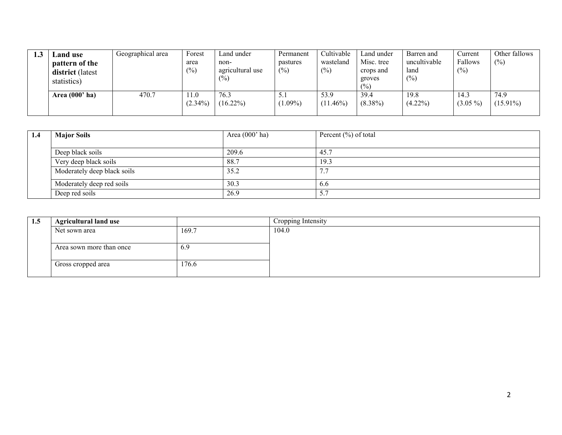| 1.3 | <b>Land</b> use                                   | Geographical area | Forest             | Land under                         | Permanent          | Cultivable          | Land under                               | Barren and                     | Current            | Other fallows       |
|-----|---------------------------------------------------|-------------------|--------------------|------------------------------------|--------------------|---------------------|------------------------------------------|--------------------------------|--------------------|---------------------|
|     | pattern of the<br>district (latest<br>statistics) |                   | area<br>(%)        | non-<br>agricultural use<br>$(\%)$ | pastures<br>$(\%)$ | wasteland<br>$(\%)$ | Misc. tree<br>crops and<br>groves<br>(%) | uncultivable<br>land<br>$(\%)$ | Fallows<br>$(\%)$  | (%)                 |
|     | Area $(000'$ ha)                                  | 470.7             | 11.0<br>$(2.34\%)$ | 76.3<br>$(16.22\%)$                | 5.1<br>$(1.09\%)$  | 53.9<br>$(11.46\%)$ | 39.4<br>$(8.38\%)$                       | 19.8<br>$(4.22\%)$             | 14.3<br>$(3.05\%)$ | 74.9<br>$(15.91\%)$ |

| 1.4 | <b>Major Soils</b>          | Area $(000'$ ha) | Percent $(\%)$ of total         |  |
|-----|-----------------------------|------------------|---------------------------------|--|
|     |                             |                  |                                 |  |
|     | Deep black soils            | 209.6            | 45.7                            |  |
|     | Very deep black soils       | 88.7             | 19.3                            |  |
|     | Moderately deep black soils | 35.2             | $\overline{ }$<br>$\frac{1}{2}$ |  |
|     | Moderately deep red soils   | 30.3             | 6.6                             |  |
|     | Deep red soils              | 26.9             | $\mathcal{L}$                   |  |

| 1.5 | <b>Agricultural land use</b> |       | Cropping Intensity |
|-----|------------------------------|-------|--------------------|
|     | Net sown area                | 169.7 | 104.0              |
|     |                              |       |                    |
|     | Area sown more than once     | 6.9   |                    |
|     |                              |       |                    |
|     | Gross cropped area           | 176.6 |                    |
|     |                              |       |                    |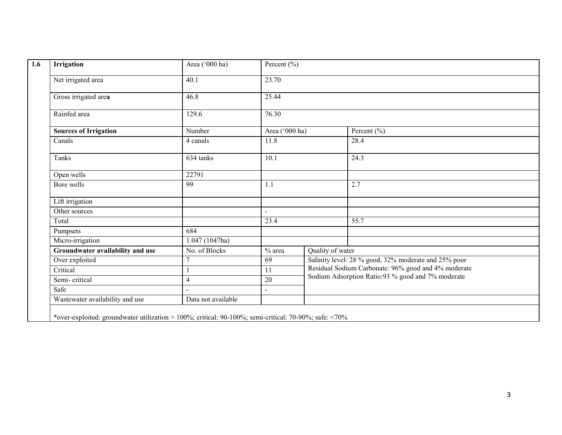| Irrigation                       | Area ('000 ha)     | Percent $(\% )$                       |                  |                                                      |  |
|----------------------------------|--------------------|---------------------------------------|------------------|------------------------------------------------------|--|
| Net irrigated area               | 40.1               | 23.70                                 |                  |                                                      |  |
| Gross irrigated area             | 46.8               | 25.44                                 |                  |                                                      |  |
| Rainfed area                     | 129.6              | 76.30                                 |                  |                                                      |  |
| <b>Sources of Irrigation</b>     | Number             | Area (' $\overline{000 \text{ ha}}$ ) |                  | Percent $(\% )$                                      |  |
| Canals                           | 4 canals           | 11.8                                  |                  | 28.4                                                 |  |
| Tanks                            | 634 tanks          | 10.1                                  |                  | 24.3                                                 |  |
| Open wells                       | 22791              |                                       |                  |                                                      |  |
| Bore wells                       | 99                 | 1.1                                   |                  | 2.7                                                  |  |
| Lift irrigation                  |                    |                                       |                  |                                                      |  |
| Other sources                    |                    |                                       |                  |                                                      |  |
| Total                            |                    | 23.4                                  |                  | 55.7                                                 |  |
| Pumpsets                         | 684                |                                       |                  |                                                      |  |
| Micro-irrigation                 | 1.047 (1047ha)     |                                       |                  |                                                      |  |
| Groundwater availability and use | No. of Blocks      | $%$ area                              | Quality of water |                                                      |  |
| Over exploited                   | 7                  | 69                                    |                  | Salinity level: 28 % good, 32% moderate and 25% poor |  |
| Critical                         |                    | 11                                    |                  | Residual Sodium Carbonate: 96% good and 4% moderate  |  |
| Semi-critical                    | 4                  | 20                                    |                  | Sodium Adsorption Ratio:93 % good and 7% moderate    |  |
| Safe                             |                    |                                       |                  |                                                      |  |
| Wastewater availability and use  | Data not available |                                       |                  |                                                      |  |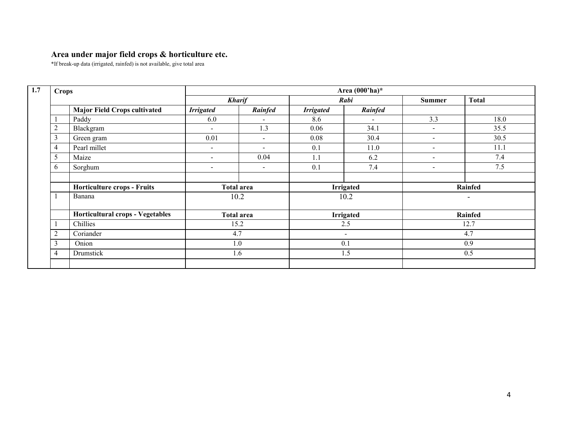### Area under major field crops & horticulture etc.

\*If break-up data (irrigated, rainfed) is not available, give total area

| 1.7 | <b>Crops</b>   |                                     |                          | Area $(000'$ ha)*        |                  |                  |                |                          |  |  |  |  |
|-----|----------------|-------------------------------------|--------------------------|--------------------------|------------------|------------------|----------------|--------------------------|--|--|--|--|
|     |                |                                     |                          | <b>Kharif</b>            |                  | Rabi             | <b>Summer</b>  | <b>Total</b>             |  |  |  |  |
|     |                | <b>Major Field Crops cultivated</b> | <b>Irrigated</b>         | Rainfed                  | <b>Irrigated</b> | Rainfed          |                |                          |  |  |  |  |
|     |                | Paddy                               | 6.0                      | $\blacksquare$           | 8.6              | $\blacksquare$   | 3.3            | 18.0                     |  |  |  |  |
|     | $\overline{c}$ | Blackgram                           | $\sim$                   | 1.3                      | 0.06             | 34.1             | $\blacksquare$ | 35.5                     |  |  |  |  |
|     | 3              | Green gram                          | 0.01                     | $\overline{\phantom{a}}$ | 0.08             | 30.4             | $\blacksquare$ | 30.5                     |  |  |  |  |
|     | 4              | Pearl millet                        | $\sim$                   | $\sim$                   | 0.1              | 11.0             | $\sim$         | 11.1                     |  |  |  |  |
|     | 5              | Maize                               | $\overline{\phantom{0}}$ | 0.04                     | 1.1              | 6.2              | $\blacksquare$ | 7.4                      |  |  |  |  |
|     | 6              | Sorghum                             | $\sim$                   | $\sim$                   | 0.1              | 7.4              | $\blacksquare$ | 7.5                      |  |  |  |  |
|     |                |                                     |                          |                          |                  |                  |                |                          |  |  |  |  |
|     |                | <b>Horticulture crops - Fruits</b>  |                          | <b>Total area</b>        | <b>Irrigated</b> |                  | Rainfed        |                          |  |  |  |  |
|     |                | Banana                              |                          | 10.2                     |                  | 10.2             |                | $\overline{\phantom{a}}$ |  |  |  |  |
|     |                |                                     |                          |                          |                  |                  |                |                          |  |  |  |  |
|     |                | Horticultural crops - Vegetables    |                          | <b>Total area</b>        |                  | <b>Irrigated</b> |                | <b>Rainfed</b>           |  |  |  |  |
|     |                | Chillies                            |                          | 15.2                     |                  | 2.5              |                | 12.7                     |  |  |  |  |
|     | 2              | Coriander                           | 4.7                      |                          |                  | $\sim$           |                | 4.7                      |  |  |  |  |
|     | 3              | Onion                               | 1.0                      |                          |                  | 0.1              | 0.9            |                          |  |  |  |  |
|     | 4              | Drumstick                           |                          | 1.6                      | 1.5              |                  | 0.5            |                          |  |  |  |  |
|     |                |                                     |                          |                          |                  |                  |                |                          |  |  |  |  |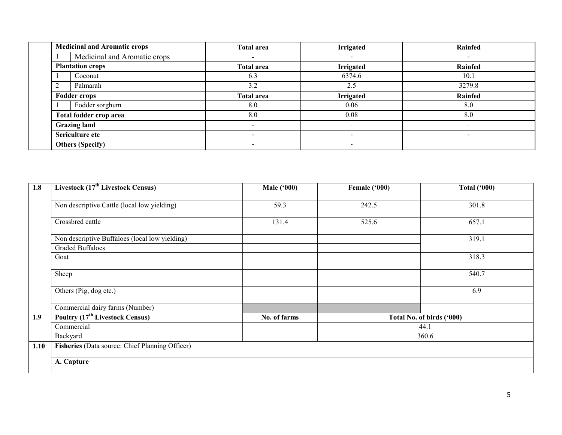| <b>Medicinal and Aromatic crops</b> | Total area        | <b>Irrigated</b> | Rainfed |  |
|-------------------------------------|-------------------|------------------|---------|--|
| Medicinal and Aromatic crops        |                   | -                |         |  |
| <b>Plantation crops</b>             | <b>Total area</b> | <b>Irrigated</b> | Rainfed |  |
| Coconut                             | 6.3               | 6374.6           | 10.1    |  |
| Palmarah                            | 3.2               | 2.5              | 3279.8  |  |
| <b>Fodder crops</b>                 | <b>Total area</b> | <b>Irrigated</b> | Rainfed |  |
| Fodder sorghum                      | 8.0               | 0.06             | 8.0     |  |
| Total fodder crop area              | 8.0               | 0.08             | 8.0     |  |
| <b>Grazing land</b>                 |                   |                  |         |  |
| Sericulture etc                     |                   | $\,$             |         |  |
| <b>Others (Specify)</b>             |                   | -                |         |  |

| 1.8  | Livestock (17 <sup>th</sup> Livestock Census)     | <b>Male ('000)</b> | Female ('000) | <b>Total ('000)</b>       |  |  |  |
|------|---------------------------------------------------|--------------------|---------------|---------------------------|--|--|--|
|      | Non descriptive Cattle (local low yielding)       | 59.3               | 242.5         | 301.8                     |  |  |  |
|      | Crossbred cattle                                  | 131.4              | 525.6         | 657.1                     |  |  |  |
|      | Non descriptive Buffaloes (local low yielding)    |                    |               | 319.1                     |  |  |  |
|      | <b>Graded Buffaloes</b>                           |                    |               |                           |  |  |  |
|      | Goat                                              |                    |               | 318.3                     |  |  |  |
|      | Sheep                                             |                    |               | 540.7                     |  |  |  |
|      | Others (Pig, dog etc.)                            |                    |               | 6.9                       |  |  |  |
|      | Commercial dairy farms (Number)                   |                    |               |                           |  |  |  |
| 1.9  | <b>Poultry (17<sup>th</sup> Livestock Census)</b> | No. of farms       |               | Total No. of birds ('000) |  |  |  |
|      | Commercial                                        |                    |               | 44.1                      |  |  |  |
|      | Backyard                                          |                    | 360.6         |                           |  |  |  |
| 1.10 | Fisheries (Data source: Chief Planning Officer)   |                    |               |                           |  |  |  |
|      | A. Capture                                        |                    |               |                           |  |  |  |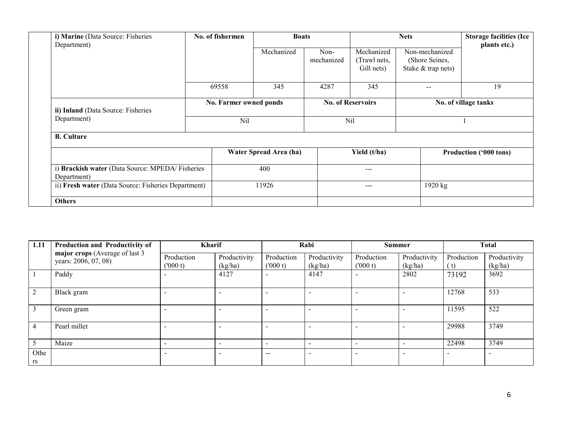| i) Marine (Data Source: Fisheries<br>Department)               | No. of fishermen | <b>Boats</b>           |                    | <b>Nets</b>                              |                                                        | <b>Storage facilities (Ice</b><br>plants etc.) |  |
|----------------------------------------------------------------|------------------|------------------------|--------------------|------------------------------------------|--------------------------------------------------------|------------------------------------------------|--|
|                                                                |                  | Mechanized             | Non-<br>mechanized | Mechanized<br>(Trawl nets,<br>Gill nets) | Non-mechanized<br>(Shore Seines,<br>Stake & trap nets) |                                                |  |
|                                                                | 69558            | 345                    | 4287               | 345                                      | $\overline{\phantom{m}}$                               | 19                                             |  |
| ii) Inland (Data Source: Fisheries                             |                  | No. Farmer owned ponds |                    | <b>No. of Reservoirs</b>                 |                                                        | No. of village tanks                           |  |
| Department)                                                    | Nil              |                        | Nil                |                                          |                                                        |                                                |  |
| <b>B.</b> Culture                                              |                  |                        |                    |                                          |                                                        |                                                |  |
|                                                                |                  | Water Spread Area (ha) |                    | Yield (t/ha)                             |                                                        | Production ('000 tons)                         |  |
| i) Brackish water (Data Source: MPEDA/Fisheries<br>Department) |                  | 400                    |                    | ---                                      |                                                        |                                                |  |
| ii) Fresh water (Data Source: Fisheries Department)            |                  | 11926                  |                    | $- - -$                                  | 1920 kg                                                |                                                |  |
| <b>Others</b>                                                  |                  |                        |                    |                                          |                                                        |                                                |  |

| 1.11       | Production and Productivity of<br>major crops (Average of last 3<br>years: 2006, 07, 08) | <b>Kharif</b>            |                              | Rabi                     |                          | <b>Summer</b>            |                          | <b>Total</b>      |                         |
|------------|------------------------------------------------------------------------------------------|--------------------------|------------------------------|--------------------------|--------------------------|--------------------------|--------------------------|-------------------|-------------------------|
|            |                                                                                          | Production<br>(1000 t)   | Productivity<br>(kg/ha)      | Production<br>(000 t)    | Productivity<br>(kg/ha)  | Production<br>(000 t)    | Productivity<br>(kg/ha)  | Production<br>(t) | Productivity<br>(kg/ha) |
|            | Paddy                                                                                    | -                        | 4127                         |                          | 4147                     | $\overline{\phantom{a}}$ | 2802                     | 73192             | 3692                    |
|            | Black gram                                                                               |                          | ۰                            |                          |                          | ۰                        |                          | 12768             | 533                     |
|            | Green gram                                                                               |                          | $\overline{\phantom{0}}$     |                          | $\overline{\phantom{0}}$ | $\overline{\phantom{a}}$ |                          | 11595             | 522                     |
|            | Pearl millet                                                                             |                          | $\qquad \qquad \blacksquare$ |                          | $\overline{\phantom{a}}$ | $\overline{\phantom{a}}$ |                          | 29988             | 3749                    |
|            | Maize                                                                                    | $\overline{\phantom{a}}$ | $\,$                         | $\overline{\phantom{0}}$ | $\overline{\phantom{a}}$ | $\sim$                   | $\overline{\phantom{a}}$ | 22498             | 3749                    |
| Othe<br>rs |                                                                                          | -                        | $\overline{\phantom{a}}$     | $\sim$ $\sim$            | $\overline{a}$           | $\overline{\phantom{a}}$ |                          |                   |                         |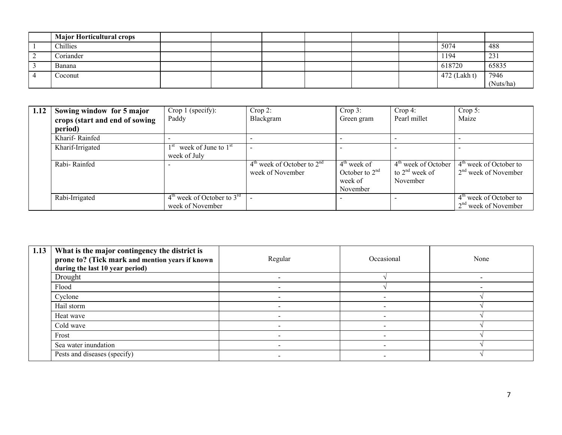| <b>Major Horticultural crops</b> |  |  |  |              |           |
|----------------------------------|--|--|--|--------------|-----------|
| Chillies                         |  |  |  | 5074         | 488       |
| Coriander                        |  |  |  | 1194         | 231       |
| Banana                           |  |  |  | 618720       | 65835     |
| Coconut                          |  |  |  | 472 (Lakh t) | 7946      |
|                                  |  |  |  |              | (Nuts/ha) |

| 1.12 | Sowing window for 5 major      | Crop 1 (specify):                                  | $Crop 2$ :                                         | Crop 3:                                                  | Crop 4:                                                         | $Crop 5$ :                                         |
|------|--------------------------------|----------------------------------------------------|----------------------------------------------------|----------------------------------------------------------|-----------------------------------------------------------------|----------------------------------------------------|
|      | crops (start and end of sowing | Paddy                                              | Blackgram                                          | Green gram                                               | Pearl millet                                                    | Maize                                              |
|      | period)                        |                                                    |                                                    |                                                          |                                                                 |                                                    |
|      | Kharif-Rainfed                 |                                                    |                                                    |                                                          |                                                                 |                                                    |
|      | Kharif-Irrigated               | week of June to $1st$<br>week of July              |                                                    |                                                          |                                                                 |                                                    |
|      | Rabi-Rainfed                   |                                                    | $4th$ week of October to $2nd$<br>week of November | $4th$ week of<br>October to $2nd$<br>week of<br>November | 4 <sup>th</sup> week of October<br>to $2nd$ week of<br>November | $4th$ week of October to<br>$2nd$ week of November |
|      | Rabi-Irrigated                 | $4th$ week of October to $3rd$<br>week of November |                                                    |                                                          |                                                                 | $4th$ week of October to<br>$2nd$ week of November |

| 1.13 | What is the major contingency the district is<br>prone to? (Tick mark and mention years if known<br>during the last 10 year period) | Regular | Occasional | None |
|------|-------------------------------------------------------------------------------------------------------------------------------------|---------|------------|------|
|      | Drought                                                                                                                             |         |            |      |
|      | Flood                                                                                                                               |         |            |      |
|      | Cyclone                                                                                                                             |         |            |      |
|      | Hail storm                                                                                                                          |         |            |      |
|      | Heat wave                                                                                                                           |         |            |      |
|      | Cold wave                                                                                                                           |         |            |      |
|      | Frost                                                                                                                               |         |            |      |
|      | Sea water inundation                                                                                                                |         |            |      |
|      | Pests and diseases (specify)                                                                                                        |         |            |      |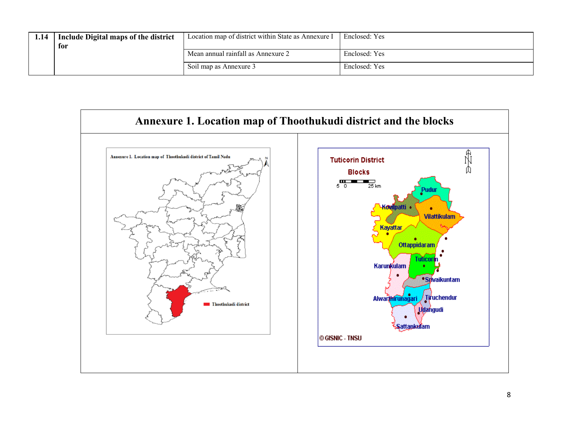| 1.14<br>Include Digital maps of the district<br>for |  | Location map of district within State as Annexure I | Enclosed: Yes |
|-----------------------------------------------------|--|-----------------------------------------------------|---------------|
|                                                     |  | Mean annual rainfall as Annexure 2                  | Enclosed: Yes |
|                                                     |  | Soil map as Annexure 3                              | Enclosed: Yes |

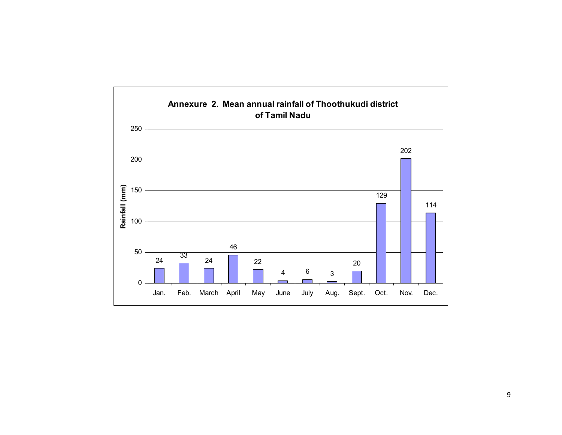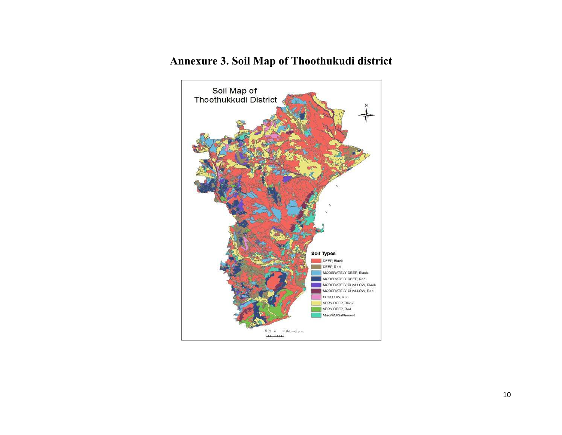## Annexure 3. Soil Map of Thoothukudi district

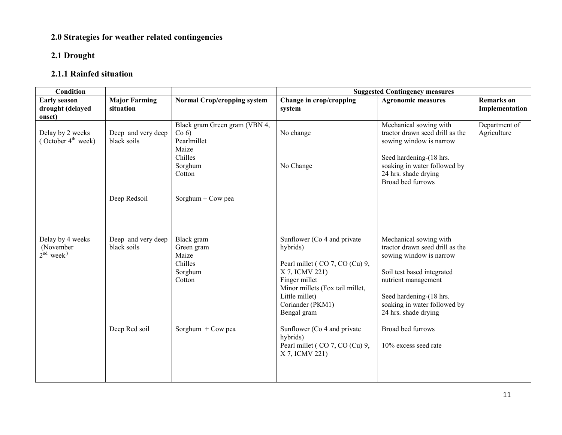## 2.0 Strategies for weather related contingencies

## 2.1 Drought

### 2.1.1 Rainfed situation

| Condition                                                   |                                                   |                                                                                                                     | <b>Suggested Contingency measures</b>                                                                                                                                                                |                                                                                                                                                                                                                              |                                     |
|-------------------------------------------------------------|---------------------------------------------------|---------------------------------------------------------------------------------------------------------------------|------------------------------------------------------------------------------------------------------------------------------------------------------------------------------------------------------|------------------------------------------------------------------------------------------------------------------------------------------------------------------------------------------------------------------------------|-------------------------------------|
| <b>Early season</b><br>drought (delayed<br>onset)           | <b>Major Farming</b><br>situation                 | <b>Normal Crop/cropping system</b>                                                                                  | Change in crop/cropping<br>system                                                                                                                                                                    | <b>Agronomic measures</b>                                                                                                                                                                                                    | <b>Remarks</b> on<br>Implementation |
| Delay by 2 weeks<br>$($ October $4^{\text{th}}$ week)       | Deep and very deep<br>black soils<br>Deep Redsoil | Black gram Green gram (VBN 4,<br>Co(6)<br>Pearlmillet<br>Maize<br>Chilles<br>Sorghum<br>Cotton<br>Sorghum + Cow pea | No change<br>No Change                                                                                                                                                                               | Mechanical sowing with<br>tractor drawn seed drill as the<br>sowing window is narrow<br>Seed hardening-(18 hrs.<br>soaking in water followed by<br>24 hrs. shade drying<br>Broad bed furrows                                 | Department of<br>Agriculture        |
| Delay by 4 weeks<br>(November<br>$2^{nd}$ week <sup>)</sup> | Deep and very deep<br>black soils                 | Black gram<br>Green gram<br>Maize<br>Chilles<br>Sorghum<br>Cotton                                                   | Sunflower (Co 4 and private<br>hybrids)<br>Pearl millet (CO 7, CO (Cu) 9,<br>X 7, ICMV 221)<br>Finger millet<br>Minor millets (Fox tail millet,<br>Little millet)<br>Coriander (PKM1)<br>Bengal gram | Mechanical sowing with<br>tractor drawn seed drill as the<br>sowing window is narrow<br>Soil test based integrated<br>nutrient management<br>Seed hardening-(18 hrs.<br>soaking in water followed by<br>24 hrs. shade drying |                                     |
|                                                             | Deep Red soil                                     | Sorghum $+$ Cow pea                                                                                                 | Sunflower (Co 4 and private<br>hybrids)<br>Pearl millet (CO 7, CO (Cu) 9,<br>X 7, ICMV 221)                                                                                                          | Broad bed furrows<br>10% excess seed rate                                                                                                                                                                                    |                                     |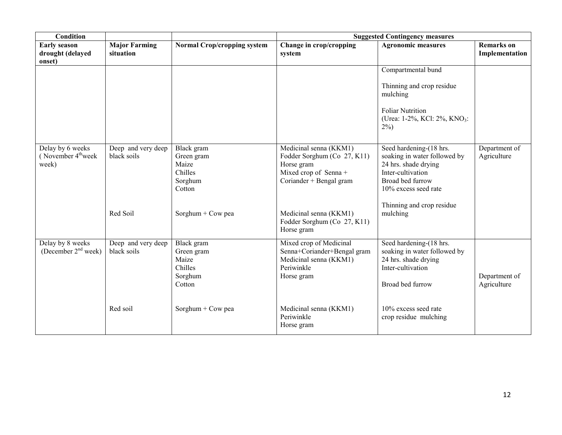| <b>Major Farming</b><br>situation             | <b>Normal Crop/cropping system</b>                                                     | Change in crop/cropping<br>system                                                                                                                                                              | <b>Agronomic measures</b>                                                                                                                                                                 | <b>Remarks</b> on<br>Implementation |
|-----------------------------------------------|----------------------------------------------------------------------------------------|------------------------------------------------------------------------------------------------------------------------------------------------------------------------------------------------|-------------------------------------------------------------------------------------------------------------------------------------------------------------------------------------------|-------------------------------------|
|                                               |                                                                                        |                                                                                                                                                                                                |                                                                                                                                                                                           |                                     |
|                                               |                                                                                        |                                                                                                                                                                                                | Compartmental bund<br>Thinning and crop residue<br>mulching<br><b>Foliar Nutrition</b><br>(Urea: 1-2%, KCl: 2%, KNO <sub>3</sub> :<br>$2\%)$                                              |                                     |
| Deep and very deep<br>black soils<br>Red Soil | Black gram<br>Green gram<br>Maize<br>Chilles<br>Sorghum<br>Cotton<br>Sorghum + Cow pea | Medicinal senna (KKM1)<br>Fodder Sorghum (Co 27, K11)<br>Horse gram<br>Mixed crop of Senna +<br>Coriander + Bengal gram<br>Medicinal senna (KKM1)<br>Fodder Sorghum (Co 27, K11)<br>Horse gram | Seed hardening-(18 hrs.<br>soaking in water followed by<br>24 hrs. shade drying<br>Inter-cultivation<br>Broad bed furrow<br>10% excess seed rate<br>Thinning and crop residue<br>mulching | Department of<br>Agriculture        |
| Deep and very deep<br>black soils<br>Red soil | Black gram<br>Green gram<br>Maize<br>Chilles<br>Sorghum<br>Cotton<br>Sorghum + Cow pea | Mixed crop of Medicinal<br>Senna+Coriander+Bengal gram<br>Medicinal senna (KKM1)<br>Periwinkle<br>Horse gram<br>Medicinal senna (KKM1)<br>Periwinkle                                           | Seed hardening-(18 hrs.<br>soaking in water followed by<br>24 hrs. shade drying<br>Inter-cultivation<br>Broad bed furrow<br>10% excess seed rate<br>crop residue mulching                 | Department of<br>Agriculture        |
|                                               |                                                                                        |                                                                                                                                                                                                | Horse gram                                                                                                                                                                                |                                     |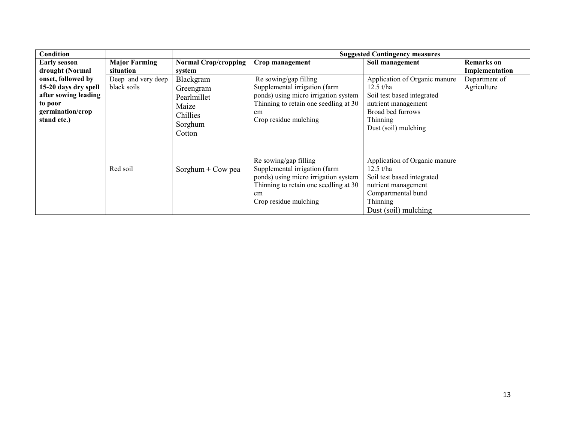| Condition            |                      |                             |                                                                                                                                                                        | <b>Suggested Contingency measures</b>                                                                                                                     |                   |
|----------------------|----------------------|-----------------------------|------------------------------------------------------------------------------------------------------------------------------------------------------------------------|-----------------------------------------------------------------------------------------------------------------------------------------------------------|-------------------|
| <b>Early season</b>  | <b>Major Farming</b> | <b>Normal Crop/cropping</b> | Crop management                                                                                                                                                        | Soil management                                                                                                                                           | <b>Remarks</b> on |
| drought (Normal      | situation            | system                      |                                                                                                                                                                        |                                                                                                                                                           | Implementation    |
| onset, followed by   | Deep and very deep   | Blackgram                   | Re sowing/gap filling                                                                                                                                                  | Application of Organic manure                                                                                                                             | Department of     |
| 15-20 days dry spell | black soils          | Greengram                   | Supplemental irrigation (farm                                                                                                                                          | 12.5 t/ha                                                                                                                                                 | Agriculture       |
| after sowing leading |                      | Pearlmillet                 | ponds) using micro irrigation system                                                                                                                                   | Soil test based integrated                                                                                                                                |                   |
| to poor              |                      | Maize                       | Thinning to retain one seedling at 30                                                                                                                                  | nutrient management                                                                                                                                       |                   |
| germination/crop     |                      | Chillies                    | cm                                                                                                                                                                     | Broad bed furrows                                                                                                                                         |                   |
| stand etc.)          |                      | Sorghum                     | Crop residue mulching                                                                                                                                                  | Thinning                                                                                                                                                  |                   |
|                      |                      | Cotton                      |                                                                                                                                                                        | Dust (soil) mulching                                                                                                                                      |                   |
|                      | Red soil             | Sorghum $+$ Cow pea         | Re sowing/gap filling<br>Supplemental irrigation (farm<br>ponds) using micro irrigation system<br>Thinning to retain one seedling at 30<br>cm<br>Crop residue mulching | Application of Organic manure<br>12.5 t/ha<br>Soil test based integrated<br>nutrient management<br>Compartmental bund<br>Thinning<br>Dust (soil) mulching |                   |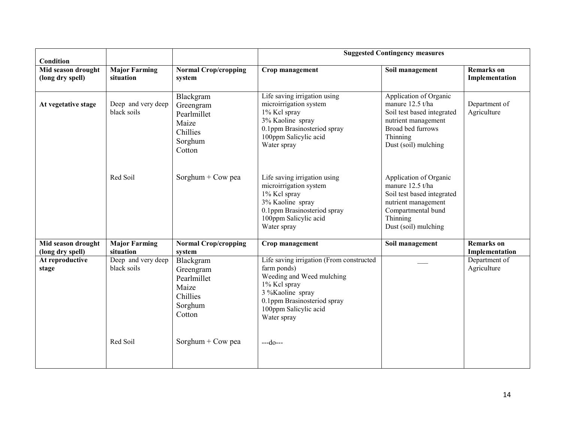| Condition                              |                                   |                                                                                 | <b>Suggested Contingency measures</b>                                                                                                                                                           |                                                                                                                                                           |                                     |
|----------------------------------------|-----------------------------------|---------------------------------------------------------------------------------|-------------------------------------------------------------------------------------------------------------------------------------------------------------------------------------------------|-----------------------------------------------------------------------------------------------------------------------------------------------------------|-------------------------------------|
| Mid season drought<br>(long dry spell) | <b>Major Farming</b><br>situation | <b>Normal Crop/cropping</b><br>system                                           | Crop management                                                                                                                                                                                 | Soil management                                                                                                                                           | <b>Remarks</b> on<br>Implementation |
| At vegetative stage                    | Deep and very deep<br>black soils | Blackgram<br>Greengram<br>Pearlmillet<br>Maize<br>Chillies<br>Sorghum<br>Cotton | Life saving irrigation using<br>microirrigation system<br>1% Kcl spray<br>3% Kaoline spray<br>0.1ppm Brasinosteriod spray<br>100ppm Salicylic acid<br>Water spray                               | Application of Organic<br>manure 12.5 t/ha<br>Soil test based integrated<br>nutrient management<br>Broad bed furrows<br>Thinning<br>Dust (soil) mulching  | Department of<br>Agriculture        |
|                                        | Red Soil                          | Sorghum + Cow pea                                                               | Life saving irrigation using<br>microirrigation system<br>1% Kcl spray<br>3% Kaoline spray<br>0.1ppm Brasinosteriod spray<br>100ppm Salicylic acid<br>Water spray                               | Application of Organic<br>manure 12.5 t/ha<br>Soil test based integrated<br>nutrient management<br>Compartmental bund<br>Thinning<br>Dust (soil) mulching |                                     |
| Mid season drought                     | <b>Major Farming</b>              | <b>Normal Crop/cropping</b>                                                     | Crop management                                                                                                                                                                                 | Soil management                                                                                                                                           | <b>Remarks</b> on                   |
| (long dry spell)                       | situation                         | system                                                                          |                                                                                                                                                                                                 |                                                                                                                                                           | Implementation                      |
| At reproductive<br>stage               | Deep and very deep<br>black soils | Blackgram<br>Greengram<br>Pearlmillet<br>Maize<br>Chillies<br>Sorghum<br>Cotton | Life saving irrigation (From constructed<br>farm ponds)<br>Weeding and Weed mulching<br>1% Kcl spray<br>3 %Kaoline spray<br>0.1ppm Brasinosteriod spray<br>100ppm Salicylic acid<br>Water spray |                                                                                                                                                           | Department of<br>Agriculture        |
|                                        | Red Soil                          | Sorghum + Cow pea                                                               | $- -d$ o $-$                                                                                                                                                                                    |                                                                                                                                                           |                                     |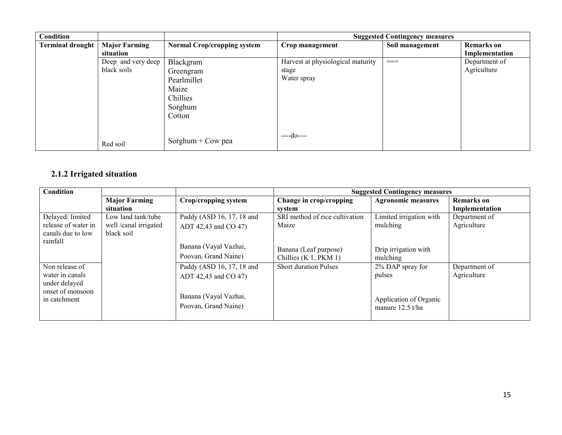| Condition               |                      |                                    | <b>Suggested Contingency measures</b> |                 |                   |
|-------------------------|----------------------|------------------------------------|---------------------------------------|-----------------|-------------------|
| <b>Terminal drought</b> | <b>Major Farming</b> | <b>Normal Crop/cropping system</b> | Crop management                       | Soil management | <b>Remarks</b> on |
|                         | situation            |                                    |                                       |                 | Implementation    |
|                         | Deep and very deep   | Blackgram                          | Harvest at physiological maturity     | $==$            | Department of     |
|                         | black soils          | Greengram                          | stage                                 |                 | Agriculture       |
|                         |                      | Pearlmillet                        | Water spray                           |                 |                   |
|                         |                      | Maize                              |                                       |                 |                   |
|                         |                      | Chillies                           |                                       |                 |                   |
|                         |                      | Sorghum                            |                                       |                 |                   |
|                         |                      | Cotton                             |                                       |                 |                   |
|                         |                      |                                    |                                       |                 |                   |
|                         |                      |                                    | ----do----                            |                 |                   |
|                         | Red soil             | Sorghum $+$ Cow pea                |                                       |                 |                   |

## 2.1.2 Irrigated situation

| <b>Condition</b>                         |                                     |                                               | <b>Suggested Contingency measures</b> |                                            |                   |  |
|------------------------------------------|-------------------------------------|-----------------------------------------------|---------------------------------------|--------------------------------------------|-------------------|--|
|                                          | <b>Major Farming</b>                | Crop/cropping system                          | Change in crop/cropping               | <b>Agronomic measures</b>                  | <b>Remarks</b> on |  |
|                                          | situation                           |                                               | system                                |                                            | Implementation    |  |
| Delayed/limited                          | Low land tank/tube                  | Paddy (ASD 16, 17, 18 and                     | SRI method of rice cultivation        | Limited irrigation with                    | Department of     |  |
| release of water in<br>canals due to low | well /canal irrigated<br>black soil | ADT 42,43 and CO 47)                          | Maize                                 | mulching                                   | Agriculture       |  |
| rainfall                                 |                                     | Banana (Vayal Vazhai,                         | Banana (Leaf purpose)                 | Drip irrigation with                       |                   |  |
|                                          |                                     | Poovan, Grand Naine)                          | Chillies $(K 1, PKM 1)$               | mulching                                   |                   |  |
| Non release of                           |                                     | Paddy (ASD 16, 17, 18 and                     | <b>Short duration Pulses</b>          | 2% DAP spray for                           | Department of     |  |
| water in canals<br>under delayed         |                                     | ADT 42,43 and CO 47)                          |                                       | pulses                                     | Agriculture       |  |
| onset of monsoon<br>in catchment         |                                     | Banana (Vayal Vazhai,<br>Poovan, Grand Naine) |                                       | Application of Organic<br>manure 12.5 t/ha |                   |  |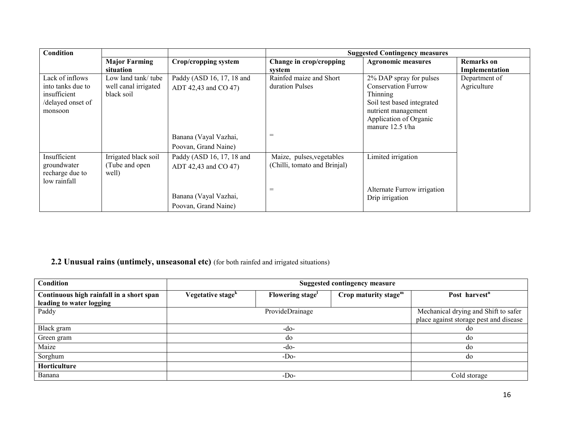| <b>Condition</b>                                                                     |                                                           |                                                   | <b>Suggested Contingency measures</b>                     |                                                                                                                                                                      |                              |  |
|--------------------------------------------------------------------------------------|-----------------------------------------------------------|---------------------------------------------------|-----------------------------------------------------------|----------------------------------------------------------------------------------------------------------------------------------------------------------------------|------------------------------|--|
|                                                                                      | <b>Major Farming</b><br>situation                         | Crop/cropping system                              | Change in crop/cropping<br>system                         | <b>Agronomic measures</b>                                                                                                                                            | Remarks on<br>Implementation |  |
| Lack of inflows<br>into tanks due to<br>insufficient<br>/delayed onset of<br>monsoon | Low land tank/ tube<br>well canal irrigated<br>black soil | Paddy (ASD 16, 17, 18 and<br>ADT 42,43 and CO 47) | Rainfed maize and Short<br>duration Pulses                | 2% DAP spray for pulses<br><b>Conservation Furrow</b><br>Thinning<br>Soil test based integrated<br>nutrient management<br>Application of Organic<br>manure 12.5 t/ha | Department of<br>Agriculture |  |
|                                                                                      |                                                           | Banana (Vayal Vazhai,<br>Poovan, Grand Naine)     | $=$                                                       |                                                                                                                                                                      |                              |  |
| Insufficient<br>groundwater<br>recharge due to<br>low rainfall                       | Irrigated black soil<br>(Tube and open)<br>well)          | Paddy (ASD 16, 17, 18 and<br>ADT 42,43 and CO 47) | Maize, pulses, vegetables<br>(Chilli, tomato and Brinjal) | Limited irrigation                                                                                                                                                   |                              |  |
|                                                                                      |                                                           | Banana (Vayal Vazhai,<br>Poovan, Grand Naine)     | $=$                                                       | Alternate Furrow irrigation<br>Drip irrigation                                                                                                                       |                              |  |

#### **2.2 Unusual rains (untimely, unseasonal etc)** (for both rainfed and irrigated situations)

| Condition                                | Suggested contingency measure |                 |                         |                                        |  |
|------------------------------------------|-------------------------------|-----------------|-------------------------|----------------------------------------|--|
| Continuous high rainfall in a short span | Vegetative stage <sup>k</sup> | Flowering stage | Crop maturity stage $m$ | Post harvest <sup>n</sup>              |  |
| leading to water logging                 |                               |                 |                         |                                        |  |
| Paddy                                    |                               | ProvideDrainage |                         | Mechanical drying and Shift to safer   |  |
|                                          |                               |                 |                         | place against storage pest and disease |  |
| Black gram                               | $-do-$                        |                 |                         | do                                     |  |
| Green gram                               |                               | do              |                         | do                                     |  |
| Maize                                    |                               | $-do-$          |                         | do                                     |  |
| Sorghum                                  | $-D0$                         |                 |                         | do                                     |  |
| Horticulture                             |                               |                 |                         |                                        |  |
| Banana                                   | $-DO$                         |                 |                         | Cold storage                           |  |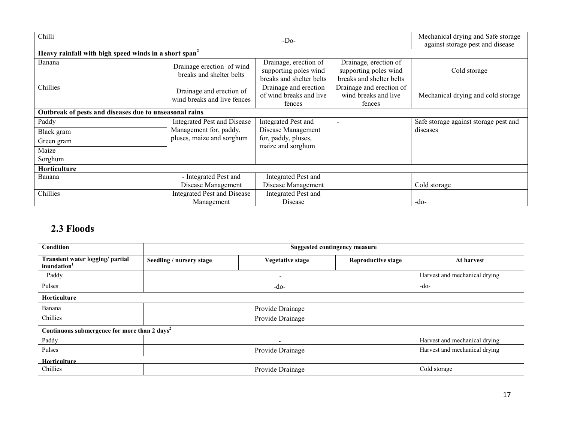| Chilli                                                            | $-D0$                                                   |                                                                            |                                                                            | Mechanical drying and Safe storage<br>against storage pest and disease |  |  |  |  |
|-------------------------------------------------------------------|---------------------------------------------------------|----------------------------------------------------------------------------|----------------------------------------------------------------------------|------------------------------------------------------------------------|--|--|--|--|
| Heavy rainfall with high speed winds in a short span <sup>2</sup> |                                                         |                                                                            |                                                                            |                                                                        |  |  |  |  |
| Banana                                                            | Drainage erection of wind<br>breaks and shelter belts   | Drainage, erection of<br>supporting poles wind<br>breaks and shelter belts | Drainage, erection of<br>supporting poles wind<br>breaks and shelter belts | Cold storage                                                           |  |  |  |  |
| Chillies                                                          | Drainage and erection of<br>wind breaks and live fences | Drainage and erection<br>of wind breaks and live<br>fences                 | Drainage and erection of<br>wind breaks and live<br>fences                 | Mechanical drying and cold storage                                     |  |  |  |  |
| Outbreak of pests and diseases due to unseasonal rains            |                                                         |                                                                            |                                                                            |                                                                        |  |  |  |  |
| Paddy                                                             | Integrated Pest and Disease                             | Integrated Pest and                                                        | $\overline{\phantom{a}}$                                                   | Safe storage against storage pest and                                  |  |  |  |  |
| Black gram                                                        | Management for, paddy,                                  | Disease Management                                                         |                                                                            | diseases                                                               |  |  |  |  |
| Green gram                                                        | pluses, maize and sorghum                               | for, paddy, pluses,                                                        |                                                                            |                                                                        |  |  |  |  |
| Maize                                                             |                                                         | maize and sorghum                                                          |                                                                            |                                                                        |  |  |  |  |
| Sorghum                                                           |                                                         |                                                                            |                                                                            |                                                                        |  |  |  |  |
| Horticulture                                                      |                                                         |                                                                            |                                                                            |                                                                        |  |  |  |  |
| Banana                                                            | - Integrated Pest and                                   | Integrated Pest and                                                        |                                                                            |                                                                        |  |  |  |  |
|                                                                   | Disease Management                                      | Disease Management                                                         |                                                                            | Cold storage                                                           |  |  |  |  |
| Chillies                                                          | <b>Integrated Pest and Disease</b>                      | Integrated Pest and                                                        |                                                                            |                                                                        |  |  |  |  |
|                                                                   | Management                                              | Disease                                                                    |                                                                            | -do-                                                                   |  |  |  |  |

## 2.3 Floods

| Condition                                                   | <b>Suggested contingency measure</b> |                               |                           |                               |  |  |
|-------------------------------------------------------------|--------------------------------------|-------------------------------|---------------------------|-------------------------------|--|--|
| Transient water logging/ partial<br>inundation <sup>1</sup> | Seedling / nursery stage             | <b>Vegetative stage</b>       | <b>Reproductive stage</b> | At harvest                    |  |  |
| Paddy                                                       | $\overline{\phantom{a}}$             |                               |                           | Harvest and mechanical drying |  |  |
| Pulses                                                      |                                      | $-do-$                        |                           |                               |  |  |
| Horticulture                                                |                                      |                               |                           |                               |  |  |
| Banana                                                      |                                      | Provide Drainage              |                           |                               |  |  |
| Chillies                                                    | Provide Drainage                     |                               |                           |                               |  |  |
| Continuous submergence for more than 2 days <sup>2</sup>    |                                      |                               |                           |                               |  |  |
| Paddy                                                       |                                      | Harvest and mechanical drying |                           |                               |  |  |
| Pulses                                                      | Provide Drainage                     |                               |                           | Harvest and mechanical drying |  |  |
| Horticulture                                                |                                      |                               |                           |                               |  |  |
| Chillies                                                    |                                      | Provide Drainage              |                           | Cold storage                  |  |  |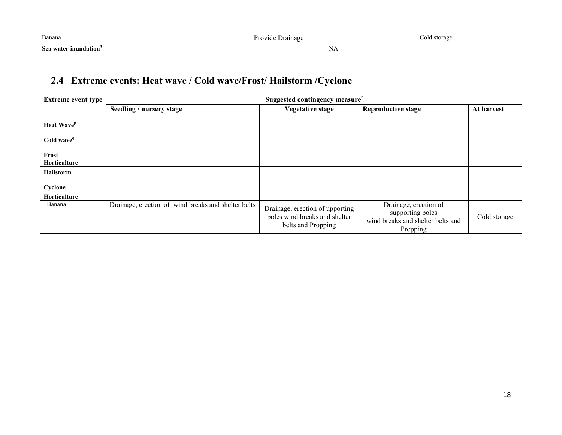| Banana     |    | olo<br>storage |
|------------|----|----------------|
| inundation | NA |                |

## 2.4 Extreme events: Heat wave / Cold wave/Frost/ Hailstorm /Cyclone

| <b>Extreme event type</b>     | Suggested contingency measure <sup>r</sup>          |                                                                                        |                                                                                            |              |
|-------------------------------|-----------------------------------------------------|----------------------------------------------------------------------------------------|--------------------------------------------------------------------------------------------|--------------|
|                               | Seedling / nursery stage                            | <b>Vegetative stage</b>                                                                | <b>Reproductive stage</b>                                                                  | At harvest   |
| <b>Heat Wave</b> <sup>p</sup> |                                                     |                                                                                        |                                                                                            |              |
| Cold wave <sup>q</sup>        |                                                     |                                                                                        |                                                                                            |              |
| Frost                         |                                                     |                                                                                        |                                                                                            |              |
| Horticulture                  |                                                     |                                                                                        |                                                                                            |              |
| <b>Hailstorm</b>              |                                                     |                                                                                        |                                                                                            |              |
| Cyclone                       |                                                     |                                                                                        |                                                                                            |              |
| Horticulture                  |                                                     |                                                                                        |                                                                                            |              |
| Banana                        | Drainage, erection of wind breaks and shelter belts | Drainage, erection of upporting<br>poles wind breaks and shelter<br>belts and Propping | Drainage, erection of<br>supporting poles<br>wind breaks and shelter belts and<br>Propping | Cold storage |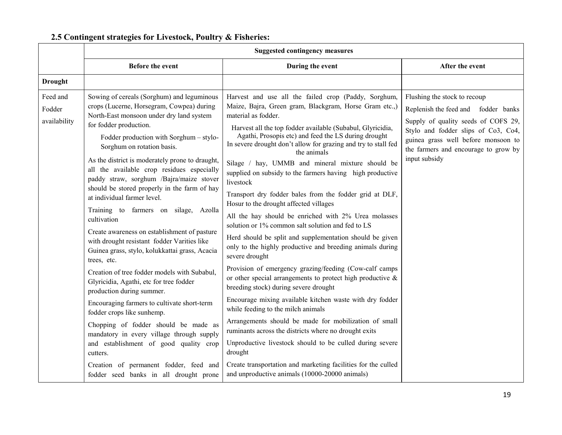## 2.5 Contingent strategies for Livestock, Poultry & Fisheries:

|                                    | <b>Suggested contingency measures</b>                                                                                                                                                                                                                                                                                                                                                                                                                                                                                                                                                                                                                                                                                                                                                                                                                                                                                                                                                                                                                                                                                          |                                                                                                                                                                                                                                                                                                                                                                                                                                                                                                                                                                                                                                                                                                                                                                                                                                                                                                                                                                                                                                                                                                                                                                                                                                                                                                                                                                                                                           |                                                                                                                                                                                                                                                   |
|------------------------------------|--------------------------------------------------------------------------------------------------------------------------------------------------------------------------------------------------------------------------------------------------------------------------------------------------------------------------------------------------------------------------------------------------------------------------------------------------------------------------------------------------------------------------------------------------------------------------------------------------------------------------------------------------------------------------------------------------------------------------------------------------------------------------------------------------------------------------------------------------------------------------------------------------------------------------------------------------------------------------------------------------------------------------------------------------------------------------------------------------------------------------------|---------------------------------------------------------------------------------------------------------------------------------------------------------------------------------------------------------------------------------------------------------------------------------------------------------------------------------------------------------------------------------------------------------------------------------------------------------------------------------------------------------------------------------------------------------------------------------------------------------------------------------------------------------------------------------------------------------------------------------------------------------------------------------------------------------------------------------------------------------------------------------------------------------------------------------------------------------------------------------------------------------------------------------------------------------------------------------------------------------------------------------------------------------------------------------------------------------------------------------------------------------------------------------------------------------------------------------------------------------------------------------------------------------------------------|---------------------------------------------------------------------------------------------------------------------------------------------------------------------------------------------------------------------------------------------------|
|                                    | Before the event                                                                                                                                                                                                                                                                                                                                                                                                                                                                                                                                                                                                                                                                                                                                                                                                                                                                                                                                                                                                                                                                                                               | During the event                                                                                                                                                                                                                                                                                                                                                                                                                                                                                                                                                                                                                                                                                                                                                                                                                                                                                                                                                                                                                                                                                                                                                                                                                                                                                                                                                                                                          | After the event                                                                                                                                                                                                                                   |
| <b>Drought</b>                     |                                                                                                                                                                                                                                                                                                                                                                                                                                                                                                                                                                                                                                                                                                                                                                                                                                                                                                                                                                                                                                                                                                                                |                                                                                                                                                                                                                                                                                                                                                                                                                                                                                                                                                                                                                                                                                                                                                                                                                                                                                                                                                                                                                                                                                                                                                                                                                                                                                                                                                                                                                           |                                                                                                                                                                                                                                                   |
| Feed and<br>Fodder<br>availability | Sowing of cereals (Sorghum) and leguminous<br>crops (Lucerne, Horsegram, Cowpea) during<br>North-East monsoon under dry land system<br>for fodder production.<br>Fodder production with Sorghum - stylo-<br>Sorghum on rotation basis.<br>As the district is moderately prone to draught,<br>all the available crop residues especially<br>paddy straw, sorghum /Bajra/maize stover<br>should be stored properly in the farm of hay<br>at individual farmer level.<br>Training to farmers on silage, Azolla<br>cultivation<br>Create awareness on establishment of pasture<br>with drought resistant fodder Varities like<br>Guinea grass, stylo, kolukkattai grass, Acacia<br>trees, etc.<br>Creation of tree fodder models with Subabul,<br>Glyricidia, Agathi, etc for tree fodder<br>production during summer.<br>Encouraging farmers to cultivate short-term<br>fodder crops like sunhemp.<br>Chopping of fodder should be made as<br>mandatory in every village through supply<br>and establishment of good quality crop<br>cutters.<br>Creation of permanent fodder, feed and<br>fodder seed banks in all drought prone | Harvest and use all the failed crop (Paddy, Sorghum,<br>Maize, Bajra, Green gram, Blackgram, Horse Gram etc.,)<br>material as fodder.<br>Harvest all the top fodder available (Subabul, Glyricidia,<br>Agathi, Prosopis etc) and feed the LS during drought<br>In severe drought don't allow for grazing and try to stall fed<br>the animals<br>Silage / hay, UMMB and mineral mixture should be<br>supplied on subsidy to the farmers having high productive<br>livestock<br>Transport dry fodder bales from the fodder grid at DLF,<br>Hosur to the drought affected villages<br>All the hay should be enriched with 2% Urea molasses<br>solution or 1% common salt solution and fed to LS<br>Herd should be split and supplementation should be given<br>only to the highly productive and breeding animals during<br>severe drought<br>Provision of emergency grazing/feeding (Cow-calf camps<br>or other special arrangements to protect high productive $\&$<br>breeding stock) during severe drought<br>Encourage mixing available kitchen waste with dry fodder<br>while feeding to the milch animals<br>Arrangements should be made for mobilization of small<br>ruminants across the districts where no drought exits<br>Unproductive livestock should to be culled during severe<br>drought<br>Create transportation and marketing facilities for the culled<br>and unproductive animals (10000-20000 animals) | Flushing the stock to recoup<br>Replenish the feed and fodder banks<br>Supply of quality seeds of COFS 29,<br>Stylo and fodder slips of Co3, Co4,<br>guinea grass well before monsoon to<br>the farmers and encourage to grow by<br>input subsidy |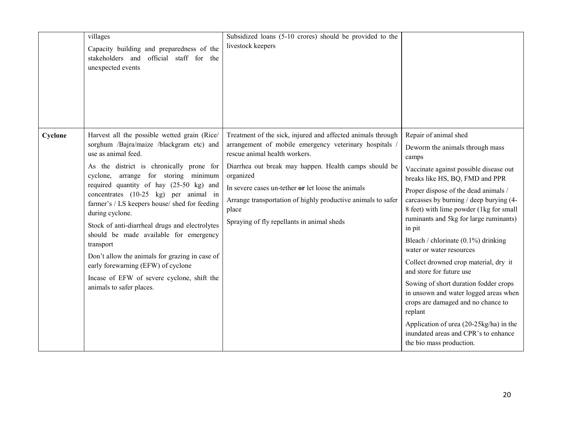|         | villages<br>Capacity building and preparedness of the<br>official staff for the<br>stakeholders and<br>unexpected events                                                                                                                                                                                                                                                                                                                                                                                                                                                                                                                         | Subsidized loans (5-10 crores) should be provided to the<br>livestock keepers                                                                                                                                                                                                                                                                                                                           |                                                                                                                                                                                                                                                                                                                                                                                                                                                                                                                                                                                                                                                                                                                            |
|---------|--------------------------------------------------------------------------------------------------------------------------------------------------------------------------------------------------------------------------------------------------------------------------------------------------------------------------------------------------------------------------------------------------------------------------------------------------------------------------------------------------------------------------------------------------------------------------------------------------------------------------------------------------|---------------------------------------------------------------------------------------------------------------------------------------------------------------------------------------------------------------------------------------------------------------------------------------------------------------------------------------------------------------------------------------------------------|----------------------------------------------------------------------------------------------------------------------------------------------------------------------------------------------------------------------------------------------------------------------------------------------------------------------------------------------------------------------------------------------------------------------------------------------------------------------------------------------------------------------------------------------------------------------------------------------------------------------------------------------------------------------------------------------------------------------------|
| Cyclone | Harvest all the possible wetted grain (Rice/<br>sorghum /Bajra/maize /blackgram etc) and<br>use as animal feed.<br>As the district is chronically prone for<br>cyclone, arrange for storing minimum<br>required quantity of hay (25-50 kg) and<br>concentrates $(10-25 \text{ kg})$ per animal in<br>farmer's / LS keepers house/ shed for feeding<br>during cyclone.<br>Stock of anti-diarrheal drugs and electrolytes<br>should be made available for emergency<br>transport<br>Don't allow the animals for grazing in case of<br>early forewarning (EFW) of cyclone<br>Incase of EFW of severe cyclone, shift the<br>animals to safer places. | Treatment of the sick, injured and affected animals through<br>arrangement of mobile emergency veterinary hospitals<br>rescue animal health workers.<br>Diarrhea out break may happen. Health camps should be<br>organized<br>In severe cases un-tether or let loose the animals<br>Arrange transportation of highly productive animals to safer<br>place<br>Spraying of fly repellants in animal sheds | Repair of animal shed<br>Deworm the animals through mass<br>camps<br>Vaccinate against possible disease out<br>breaks like HS, BQ, FMD and PPR<br>Proper dispose of the dead animals /<br>carcasses by burning / deep burying (4-<br>8 feet) with lime powder (1kg for small<br>ruminants and 5kg for large ruminants)<br>in pit<br>Bleach / chlorinate (0.1%) drinking<br>water or water resources<br>Collect drowned crop material, dry it<br>and store for future use<br>Sowing of short duration fodder crops<br>in unsown and water logged areas when<br>crops are damaged and no chance to<br>replant<br>Application of urea (20-25kg/ha) in the<br>inundated areas and CPR's to enhance<br>the bio mass production. |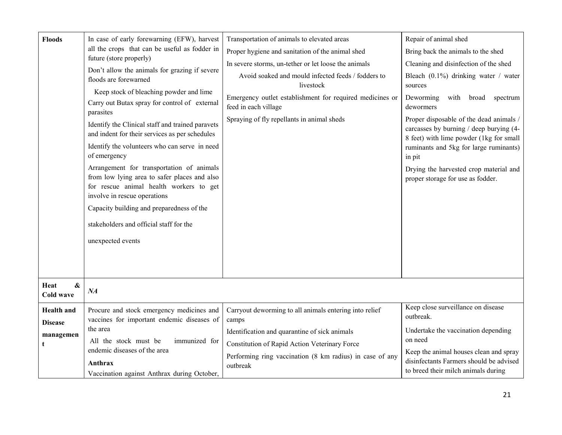| <b>Floods</b>                                 | In case of early forewarning (EFW), harvest<br>all the crops that can be useful as fodder in                                                                                                                                                                                                                                                                                                                                                                                                                                                                                                                                                                           | Transportation of animals to elevated areas<br>Proper hygiene and sanitation of the animal shed                                                                                                                                                           | Repair of animal shed<br>Bring back the animals to the shed                                                                                                                                                                                                                                                                                                                                                         |
|-----------------------------------------------|------------------------------------------------------------------------------------------------------------------------------------------------------------------------------------------------------------------------------------------------------------------------------------------------------------------------------------------------------------------------------------------------------------------------------------------------------------------------------------------------------------------------------------------------------------------------------------------------------------------------------------------------------------------------|-----------------------------------------------------------------------------------------------------------------------------------------------------------------------------------------------------------------------------------------------------------|---------------------------------------------------------------------------------------------------------------------------------------------------------------------------------------------------------------------------------------------------------------------------------------------------------------------------------------------------------------------------------------------------------------------|
|                                               | future (store properly)<br>Don't allow the animals for grazing if severe<br>floods are forewarned<br>Keep stock of bleaching powder and lime<br>Carry out Butax spray for control of external<br>parasites<br>Identify the Clinical staff and trained paravets<br>and indent for their services as per schedules<br>Identify the volunteers who can serve in need<br>of emergency<br>Arrangement for transportation of animals<br>from low lying area to safer places and also<br>for rescue animal health workers to get<br>involve in rescue operations<br>Capacity building and preparedness of the<br>stakeholders and official staff for the<br>unexpected events | In severe storms, un-tether or let loose the animals<br>Avoid soaked and mould infected feeds / fodders to<br>livestock<br>Emergency outlet establishment for required medicines or<br>feed in each village<br>Spraying of fly repellants in animal sheds | Cleaning and disinfection of the shed<br>Bleach (0.1%) drinking water / water<br>sources<br>Deworming<br>with<br>broad<br>spectrum<br>dewormers<br>Proper disposable of the dead animals /<br>carcasses by burning / deep burying (4-<br>8 feet) with lime powder (1kg for small<br>ruminants and 5kg for large ruminants)<br>in pit<br>Drying the harvested crop material and<br>proper storage for use as fodder. |
| $\boldsymbol{\&}$<br>Heat<br><b>Cold wave</b> | NA                                                                                                                                                                                                                                                                                                                                                                                                                                                                                                                                                                                                                                                                     |                                                                                                                                                                                                                                                           |                                                                                                                                                                                                                                                                                                                                                                                                                     |
| <b>Health</b> and<br><b>Disease</b>           | Procure and stock emergency medicines and<br>vaccines for important endemic diseases of                                                                                                                                                                                                                                                                                                                                                                                                                                                                                                                                                                                | Carryout deworming to all animals entering into relief<br>camps                                                                                                                                                                                           | Keep close surveillance on disease<br>outbreak.                                                                                                                                                                                                                                                                                                                                                                     |
| managemen<br>t                                | the area<br>All the stock must be<br>immunized for<br>endemic diseases of the area<br>Anthrax<br>Vaccination against Anthrax during October,                                                                                                                                                                                                                                                                                                                                                                                                                                                                                                                           | Identification and quarantine of sick animals<br>Constitution of Rapid Action Veterinary Force                                                                                                                                                            | Undertake the vaccination depending<br>on need<br>Keep the animal houses clean and spray                                                                                                                                                                                                                                                                                                                            |
|                                               |                                                                                                                                                                                                                                                                                                                                                                                                                                                                                                                                                                                                                                                                        | Performing ring vaccination (8 km radius) in case of any<br>outbreak                                                                                                                                                                                      | disinfectants Farmers should be advised<br>to breed their milch animals during                                                                                                                                                                                                                                                                                                                                      |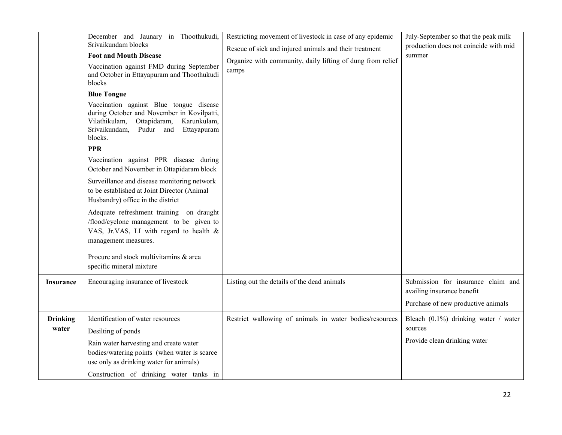|                  | December and Jaunary in Thoothukudi,<br>Srivaikundam blocks<br><b>Foot and Mouth Disease</b><br>Vaccination against FMD during September<br>and October in Ettayapuram and Thoothukudi<br>blocks<br><b>Blue Tongue</b><br>Vaccination against Blue tongue disease | Restricting movement of livestock in case of any epidemic<br>Rescue of sick and injured animals and their treatment<br>Organize with community, daily lifting of dung from relief<br>camps | July-September so that the peak milk<br>production does not coincide with mid<br>summer |
|------------------|-------------------------------------------------------------------------------------------------------------------------------------------------------------------------------------------------------------------------------------------------------------------|--------------------------------------------------------------------------------------------------------------------------------------------------------------------------------------------|-----------------------------------------------------------------------------------------|
|                  | during October and November in Kovilpatti,<br>Vilathikulam, Ottapidaram,<br>Karunkulam,<br>Srivaikundam, Pudur and Ettayapuram<br>blocks.                                                                                                                         |                                                                                                                                                                                            |                                                                                         |
|                  | <b>PPR</b>                                                                                                                                                                                                                                                        |                                                                                                                                                                                            |                                                                                         |
|                  | Vaccination against PPR disease during<br>October and November in Ottapidaram block                                                                                                                                                                               |                                                                                                                                                                                            |                                                                                         |
|                  | Surveillance and disease monitoring network<br>to be established at Joint Director (Animal<br>Husbandry) office in the district                                                                                                                                   |                                                                                                                                                                                            |                                                                                         |
|                  | Adequate refreshment training on draught<br>/flood/cyclone management to be given to<br>VAS, Jr.VAS, LI with regard to health &<br>management measures.                                                                                                           |                                                                                                                                                                                            |                                                                                         |
|                  | Procure and stock multivitamins & area<br>specific mineral mixture                                                                                                                                                                                                |                                                                                                                                                                                            |                                                                                         |
| <b>Insurance</b> | Encouraging insurance of livestock                                                                                                                                                                                                                                | Listing out the details of the dead animals                                                                                                                                                | Submission for insurance claim and<br>availing insurance benefit                        |
|                  |                                                                                                                                                                                                                                                                   |                                                                                                                                                                                            | Purchase of new productive animals                                                      |
| <b>Drinking</b>  | Identification of water resources                                                                                                                                                                                                                                 | Restrict wallowing of animals in water bodies/resources                                                                                                                                    | Bleach (0.1%) drinking water / water                                                    |
| water            | Desilting of ponds                                                                                                                                                                                                                                                |                                                                                                                                                                                            | sources                                                                                 |
|                  | Rain water harvesting and create water<br>bodies/watering points (when water is scarce<br>use only as drinking water for animals)                                                                                                                                 |                                                                                                                                                                                            | Provide clean drinking water                                                            |
|                  | Construction of drinking water tanks in                                                                                                                                                                                                                           |                                                                                                                                                                                            |                                                                                         |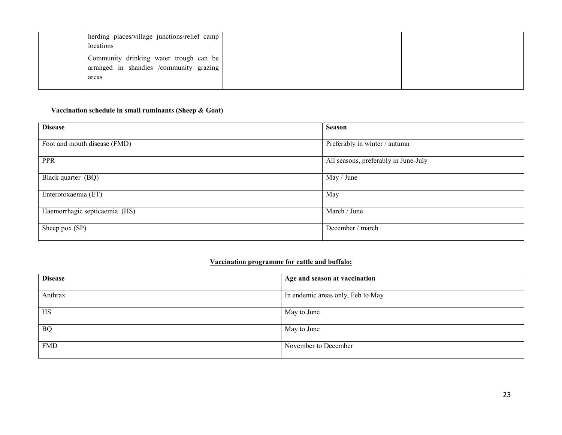| locations | herding places/village junctions/relief camp                                        |  |
|-----------|-------------------------------------------------------------------------------------|--|
| areas     | Community drinking water trough can be I<br>arranged in shandies /community grazing |  |

#### Vaccination schedule in small ruminants (Sheep & Goat)

| <b>Disease</b>                | <b>Season</b>                        |
|-------------------------------|--------------------------------------|
|                               |                                      |
| Foot and mouth disease (FMD)  | Preferably in winter / autumn        |
|                               |                                      |
| <b>PPR</b>                    | All seasons, preferably in June-July |
|                               |                                      |
| Black quarter (BQ)            | May / June                           |
|                               |                                      |
| Enterotoxaemia (ET)           | May                                  |
|                               |                                      |
| Haemorrhagic septicaemia (HS) | March / June                         |
|                               |                                      |
| Sheep pox (SP)                | December / march                     |
|                               |                                      |

#### Vaccination programme for cattle and buffalo:

| <b>Disease</b> | Age and season at vaccination     |
|----------------|-----------------------------------|
| Anthrax        | In endemic areas only, Feb to May |
| HS             | May to June                       |
| <b>BQ</b>      | May to June                       |
| <b>FMD</b>     | November to December              |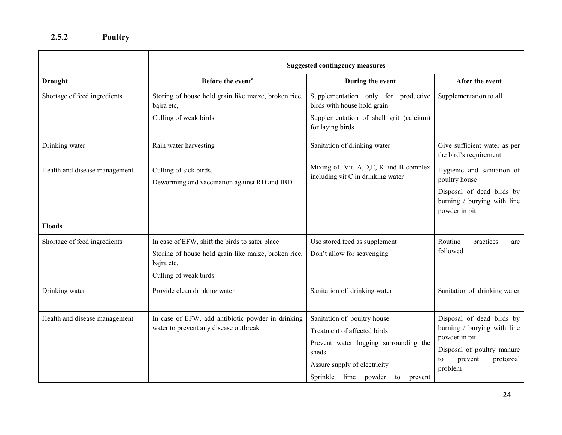### 2.5.2 Poultry

|                               | <b>Suggested contingency measures</b>                                                                                                         |                                                                              |                                                                          |
|-------------------------------|-----------------------------------------------------------------------------------------------------------------------------------------------|------------------------------------------------------------------------------|--------------------------------------------------------------------------|
| <b>Drought</b>                | Before the event <sup>a</sup>                                                                                                                 | During the event                                                             | After the event                                                          |
| Shortage of feed ingredients  | Storing of house hold grain like maize, broken rice,<br>bajra etc,                                                                            | Supplementation only for productive<br>birds with house hold grain           | Supplementation to all                                                   |
|                               | Culling of weak birds                                                                                                                         | Supplementation of shell grit (calcium)<br>for laying birds                  |                                                                          |
| Drinking water                | Rain water harvesting                                                                                                                         | Sanitation of drinking water                                                 | Give sufficient water as per<br>the bird's requirement                   |
| Health and disease management | Culling of sick birds.<br>Deworming and vaccination against RD and IBD                                                                        | Mixing of Vit. A, D, E, K and B-complex<br>including vit C in drinking water | Hygienic and sanitation of<br>poultry house<br>Disposal of dead birds by |
|                               |                                                                                                                                               |                                                                              | burning / burying with line<br>powder in pit                             |
| <b>Floods</b>                 |                                                                                                                                               |                                                                              |                                                                          |
| Shortage of feed ingredients  | In case of EFW, shift the birds to safer place<br>Storing of house hold grain like maize, broken rice,<br>bajra etc,<br>Culling of weak birds | Use stored feed as supplement<br>Don't allow for scavenging                  | Routine<br>practices<br>are<br>followed                                  |
| Drinking water                | Provide clean drinking water                                                                                                                  | Sanitation of drinking water                                                 | Sanitation of drinking water                                             |
| Health and disease management | In case of EFW, add antibiotic powder in drinking                                                                                             | Sanitation of poultry house                                                  | Disposal of dead birds by                                                |
|                               | water to prevent any disease outbreak                                                                                                         | Treatment of affected birds                                                  | burning / burying with line                                              |
|                               |                                                                                                                                               | Prevent water logging surrounding the<br>sheds                               | powder in pit<br>Disposal of poultry manure                              |
|                               |                                                                                                                                               | Assure supply of electricity                                                 | to<br>prevent<br>protozoal<br>problem                                    |
|                               |                                                                                                                                               | Sprinkle lime powder<br>to<br>prevent                                        |                                                                          |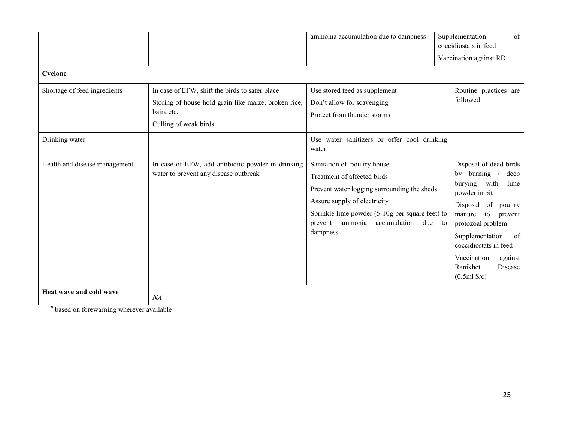| Cyclone                       |                                                                                                                                               | ammonia accumulation due to dampness                                                                                                                                                                                                                     | $\sigma$<br>Supplementation<br>coccidiostats in feed<br>Vaccination against RD                                                                                                                                                                                                            |
|-------------------------------|-----------------------------------------------------------------------------------------------------------------------------------------------|----------------------------------------------------------------------------------------------------------------------------------------------------------------------------------------------------------------------------------------------------------|-------------------------------------------------------------------------------------------------------------------------------------------------------------------------------------------------------------------------------------------------------------------------------------------|
| Shortage of feed ingredients  | In case of EFW, shift the birds to safer place<br>Storing of house hold grain like maize, broken rice,<br>bajra etc,<br>Culling of weak birds | Use stored feed as supplement<br>Don't allow for scavenging<br>Protect from thunder storms                                                                                                                                                               | Routine practices are<br>followed                                                                                                                                                                                                                                                         |
| Drinking water                |                                                                                                                                               | Use water sanitizers or offer cool drinking<br>water                                                                                                                                                                                                     |                                                                                                                                                                                                                                                                                           |
| Health and disease management | In case of EFW, add antibiotic powder in drinking<br>water to prevent any disease outbreak                                                    | Sanitation of poultry house<br>Treatment of affected birds<br>Prevent water logging surrounding the sheds<br>Assure supply of electricity<br>Sprinkle lime powder (5-10g per square feet) to<br>ammonia<br>accumulation<br>due to<br>prevent<br>dampness | Disposal of dead birds<br>by burning<br>deep<br>burying with<br>lime<br>powder in pit<br>Disposal of<br>poultry<br>${\rm to}$<br>manure<br>prevent<br>protozoal problem<br>Supplementation<br>of<br>coccidiostats in feed<br>Vaccination<br>against<br>Ranikhet<br>Disease<br>(0.5ml S/c) |
| Heat wave and cold wave       | NA                                                                                                                                            |                                                                                                                                                                                                                                                          |                                                                                                                                                                                                                                                                                           |

<sup>a</sup> based on forewarning wherever available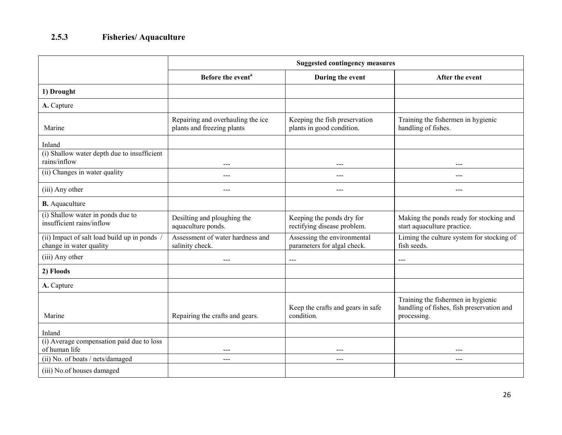### 2.5.3 Fisheries/ Aquaculture

|                                                                       | <b>Suggested contingency measures</b>                           |                                                            |                                                                                                |
|-----------------------------------------------------------------------|-----------------------------------------------------------------|------------------------------------------------------------|------------------------------------------------------------------------------------------------|
|                                                                       | Before the event <sup>a</sup>                                   | During the event                                           | After the event                                                                                |
| 1) Drought                                                            |                                                                 |                                                            |                                                                                                |
| A. Capture                                                            |                                                                 |                                                            |                                                                                                |
| Marine                                                                | Repairing and overhauling the ice<br>plants and freezing plants | Keeping the fish preservation<br>plants in good condition. | Training the fishermen in hygienic<br>handling of fishes.                                      |
| Inland                                                                |                                                                 |                                                            |                                                                                                |
| (i) Shallow water depth due to insufficient<br>rains/inflow           | $---$                                                           | $- - -$                                                    | ---                                                                                            |
| (ii) Changes in water quality                                         | ---                                                             | $---$                                                      | ---                                                                                            |
| (iii) Any other                                                       | ---                                                             | ---                                                        | $---$                                                                                          |
| <b>B.</b> Aquaculture                                                 |                                                                 |                                                            |                                                                                                |
| (i) Shallow water in ponds due to<br>insufficient rains/inflow        | Desilting and ploughing the<br>aquaculture ponds.               | Keeping the ponds dry for<br>rectifying disease problem.   | Making the ponds ready for stocking and<br>start aquaculture practice.                         |
| (ii) Impact of salt load build up in ponds<br>change in water quality | Assessment of water hardness and<br>salinity check.             | Assessing the environmental<br>parameters for algal check. | Liming the culture system for stocking of<br>fish seeds.                                       |
| (iii) Any other                                                       | ---                                                             | $\sim$ $\sim$ $\sim$                                       | $---$                                                                                          |
| 2) Floods                                                             |                                                                 |                                                            |                                                                                                |
| A. Capture                                                            |                                                                 |                                                            |                                                                                                |
| Marine                                                                | Repairing the crafts and gears.                                 | Keep the crafts and gears in safe<br>condition.            | Training the fishermen in hygienic<br>handling of fishes, fish preservation and<br>processing. |
| Inland                                                                |                                                                 |                                                            |                                                                                                |
| (i) Average compensation paid due to loss<br>of human life            |                                                                 |                                                            |                                                                                                |
| (ii) No. of boats / nets/damaged                                      | $\frac{1}{2}$                                                   | $---$                                                      | $---$                                                                                          |
| (iii) No.of houses damaged                                            |                                                                 |                                                            |                                                                                                |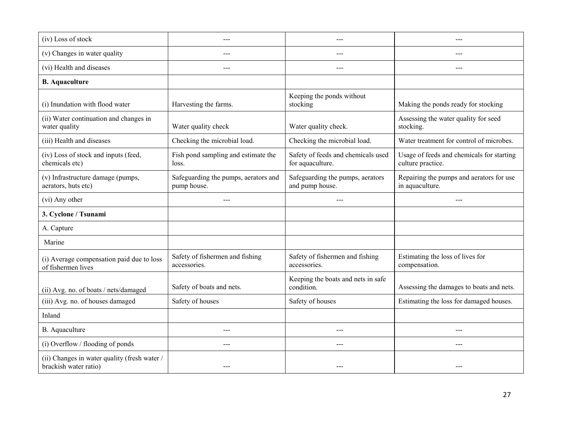| (iv) Loss of stock                                                    |                                                     | $---$                                                  |                                                                |
|-----------------------------------------------------------------------|-----------------------------------------------------|--------------------------------------------------------|----------------------------------------------------------------|
| (v) Changes in water quality                                          |                                                     | $---$                                                  |                                                                |
| (vi) Health and diseases                                              |                                                     | $- - -$                                                |                                                                |
| <b>B.</b> Aquaculture                                                 |                                                     |                                                        |                                                                |
| (i) Inundation with flood water                                       | Harvesting the farms.                               | Keeping the ponds without<br>stocking                  | Making the ponds ready for stocking                            |
| (ii) Water continuation and changes in<br>water quality               | Water quality check                                 | Water quality check.                                   | Assessing the water quality for seed<br>stocking.              |
| (iii) Health and diseases                                             | Checking the microbial load.                        | Checking the microbial load.                           | Water treatment for control of microbes.                       |
| (iv) Loss of stock and inputs (feed,<br>chemicals etc)                | Fish pond sampling and estimate the<br>loss.        | Safety of feeds and chemicals used<br>for aquaculture. | Usage of feeds and chemicals for starting<br>culture practice. |
| (v) Infrastructure damage (pumps,<br>aerators, huts etc)              | Safeguarding the pumps, aerators and<br>pump house. | Safeguarding the pumps, aerators<br>and pump house.    | Repairing the pumps and aerators for use<br>in aquaculture.    |
| (vi) Any other                                                        |                                                     | $---$                                                  |                                                                |
| 3. Cyclone / Tsunami                                                  |                                                     |                                                        |                                                                |
| A. Capture                                                            |                                                     |                                                        |                                                                |
| Marine                                                                |                                                     |                                                        |                                                                |
| (i) Average compensation paid due to loss<br>of fishermen lives       | Safety of fishermen and fishing<br>accessories.     | Safety of fishermen and fishing<br>accessories.        | Estimating the loss of lives for<br>compensation.              |
| (ii) Avg. no. of boats / nets/damaged                                 | Safety of boats and nets.                           | Keeping the boats and nets in safe<br>condition.       | Assessing the damages to boats and nets.                       |
| (iii) Avg. no. of houses damaged                                      | Safety of houses                                    | Safety of houses                                       | Estimating the loss for damaged houses.                        |
| Inland                                                                |                                                     |                                                        |                                                                |
| B. Aquaculture                                                        |                                                     | $---$                                                  |                                                                |
| (i) Overflow / flooding of ponds                                      | $---$                                               | $---$                                                  | $---$                                                          |
| (ii) Changes in water quality (fresh water /<br>brackish water ratio) |                                                     |                                                        |                                                                |